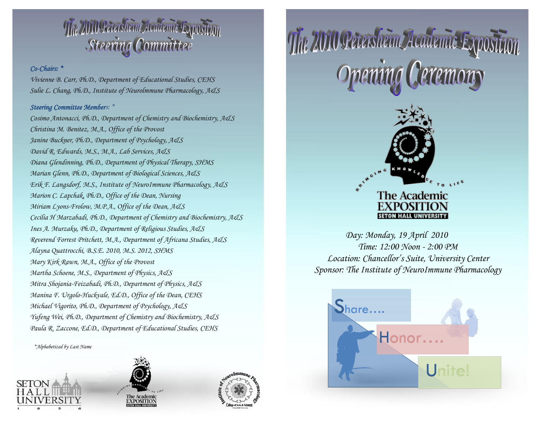# The 2010 Petersheim Academic Exposition

# *Co-Chairs: \**

*Vivienne B. Carr, Ph.D., Department of Educational Studies, CEHS Sulie L. Chang, Ph.D., Institute of Neurolmmune Pharmacology, A&S*

# *Steering Committee Members: \**

*Cosimo Antonacci, Ph.D., Department of Chemistry and Biochemistry, A&S Christina M. Benitez, M.A., Office of the Provost Janine Buckner, Ph.D., Department of Psychology, A&S David R. Edwards, M.S., M.A., Lab Services, A&S Diana Glendinning, Ph.D., Department of Physical Therapy, SHMS Marian Glenn, Ph.D., Department of Biological Sciences, A&S Erik F. Langsdorf, M.S., Institute of NeuroImmune Pharmacology, A&S Marion C. Lapchak, Ph.D., Office of the Dean, Nursing Miriam Lyons-Frolow, M.P.A., Office of the Dean, A&S Cecilia H Marzabadi, Ph.D., Department of Chemistry and Biochemistry, A&S Ines A. Murzaku, Ph.D., Department of Religious Studies, A&S Reverend Forrest Pritchett, M.A., Department of Africana Studies, A&S Alayna Quattrocchi, B.S.E. 2010, M.S. 2012, SHMS Mary Kirk Rawn, M.A., Office of the Provost Martha Schoene, M.S., Department of Physics, A&S Mitra Shojania-Feizabadi, Ph.D., Department of Physics, A&S Manina F. Urgolo-Huckvale, Ed.D., Office of the Dean, CEHS Michael Vigorito, Ph.D., Department of Psychology, A&S Yufeng Wei, Ph.D., Department of Chemistry and Biochemistry, A&S Paula R. Zaccone, Ed.D., Department of Educational Studies, CEHS*

 *\*Alphabetized by Last Name*







The 2010 Petersheim Academic Expositi



*Day: Monday, 19 April 2010 Time: 12:00 Noon - 2:00 PM Location: Chancellor's Suite, University Center Sponsor: The Institute of NeuroImmune Pharmacology*